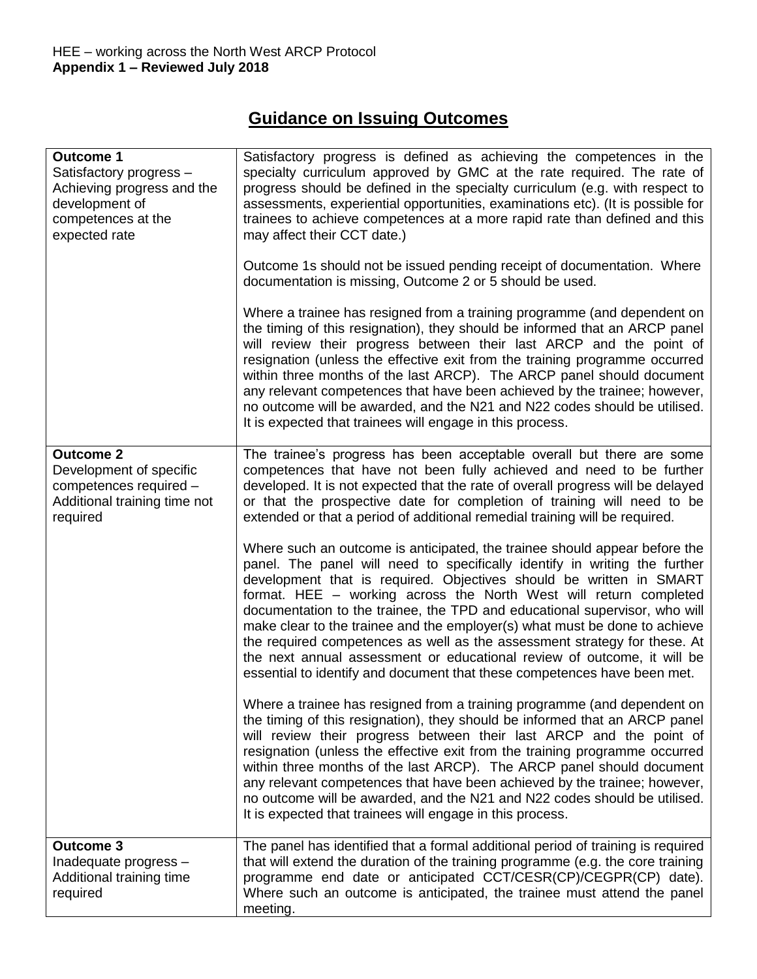# **Guidance on Issuing Outcomes**

| <b>Outcome 1</b><br>Satisfactory progress -<br>Achieving progress and the<br>development of<br>competences at the<br>expected rate | Satisfactory progress is defined as achieving the competences in the<br>specialty curriculum approved by GMC at the rate required. The rate of<br>progress should be defined in the specialty curriculum (e.g. with respect to<br>assessments, experiential opportunities, examinations etc). (It is possible for<br>trainees to achieve competences at a more rapid rate than defined and this<br>may affect their CCT date.)<br>Outcome 1s should not be issued pending receipt of documentation. Where<br>documentation is missing, Outcome 2 or 5 should be used.<br>Where a trainee has resigned from a training programme (and dependent on<br>the timing of this resignation), they should be informed that an ARCP panel<br>will review their progress between their last ARCP and the point of<br>resignation (unless the effective exit from the training programme occurred<br>within three months of the last ARCP). The ARCP panel should document<br>any relevant competences that have been achieved by the trainee; however,<br>no outcome will be awarded, and the N21 and N22 codes should be utilised.<br>It is expected that trainees will engage in this process. |
|------------------------------------------------------------------------------------------------------------------------------------|----------------------------------------------------------------------------------------------------------------------------------------------------------------------------------------------------------------------------------------------------------------------------------------------------------------------------------------------------------------------------------------------------------------------------------------------------------------------------------------------------------------------------------------------------------------------------------------------------------------------------------------------------------------------------------------------------------------------------------------------------------------------------------------------------------------------------------------------------------------------------------------------------------------------------------------------------------------------------------------------------------------------------------------------------------------------------------------------------------------------------------------------------------------------------------------|
| <b>Outcome 2</b><br>Development of specific<br>competences required -<br>Additional training time not<br>required                  | The trainee's progress has been acceptable overall but there are some<br>competences that have not been fully achieved and need to be further<br>developed. It is not expected that the rate of overall progress will be delayed<br>or that the prospective date for completion of training will need to be<br>extended or that a period of additional remedial training will be required.<br>Where such an outcome is anticipated, the trainee should appear before the<br>panel. The panel will need to specifically identify in writing the further<br>development that is required. Objectives should be written in SMART<br>format. HEE - working across the North West will return completed<br>documentation to the trainee, the TPD and educational supervisor, who will<br>make clear to the trainee and the employer(s) what must be done to achieve<br>the required competences as well as the assessment strategy for these. At<br>the next annual assessment or educational review of outcome, it will be<br>essential to identify and document that these competences have been met.                                                                                     |
|                                                                                                                                    | Where a trainee has resigned from a training programme (and dependent on<br>the timing of this resignation), they should be informed that an ARCP panel<br>will review their progress between their last ARCP and the point of<br>resignation (unless the effective exit from the training programme occurred<br>within three months of the last ARCP). The ARCP panel should document<br>any relevant competences that have been achieved by the trainee; however,<br>no outcome will be awarded, and the N21 and N22 codes should be utilised.<br>It is expected that trainees will engage in this process.                                                                                                                                                                                                                                                                                                                                                                                                                                                                                                                                                                          |
| <b>Outcome 3</b><br>Inadequate progress -<br>Additional training time<br>required                                                  | The panel has identified that a formal additional period of training is required<br>that will extend the duration of the training programme (e.g. the core training<br>programme end date or anticipated CCT/CESR(CP)/CEGPR(CP) date).<br>Where such an outcome is anticipated, the trainee must attend the panel<br>meeting.                                                                                                                                                                                                                                                                                                                                                                                                                                                                                                                                                                                                                                                                                                                                                                                                                                                          |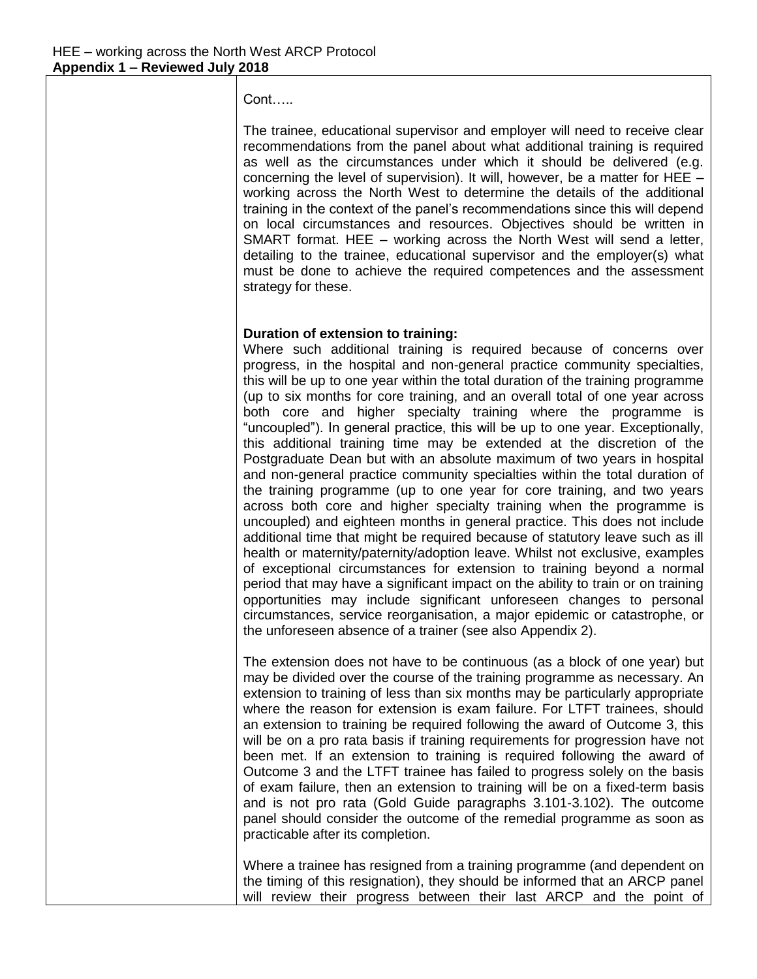Cont…..

The trainee, educational supervisor and employer will need to receive clear recommendations from the panel about what additional training is required as well as the circumstances under which it should be delivered (e.g. concerning the level of supervision). It will, however, be a matter for HEE – working across the North West to determine the details of the additional training in the context of the panel's recommendations since this will depend on local circumstances and resources. Objectives should be written in SMART format. HEE – working across the North West will send a letter, detailing to the trainee, educational supervisor and the employer(s) what must be done to achieve the required competences and the assessment strategy for these.

### **Duration of extension to training:**

Where such additional training is required because of concerns over progress, in the hospital and non-general practice community specialties, this will be up to one year within the total duration of the training programme (up to six months for core training, and an overall total of one year across both core and higher specialty training where the programme is "uncoupled"). In general practice, this will be up to one year. Exceptionally, this additional training time may be extended at the discretion of the Postgraduate Dean but with an absolute maximum of two years in hospital and non-general practice community specialties within the total duration of the training programme (up to one year for core training, and two years across both core and higher specialty training when the programme is uncoupled) and eighteen months in general practice. This does not include additional time that might be required because of statutory leave such as ill health or maternity/paternity/adoption leave. Whilst not exclusive, examples of exceptional circumstances for extension to training beyond a normal period that may have a significant impact on the ability to train or on training opportunities may include significant unforeseen changes to personal circumstances, service reorganisation, a major epidemic or catastrophe, or the unforeseen absence of a trainer (see also Appendix 2).

The extension does not have to be continuous (as a block of one year) but may be divided over the course of the training programme as necessary. An extension to training of less than six months may be particularly appropriate where the reason for extension is exam failure. For LTFT trainees, should an extension to training be required following the award of Outcome 3, this will be on a pro rata basis if training requirements for progression have not been met. If an extension to training is required following the award of Outcome 3 and the LTFT trainee has failed to progress solely on the basis of exam failure, then an extension to training will be on a fixed-term basis and is not pro rata (Gold Guide paragraphs 3.101-3.102). The outcome panel should consider the outcome of the remedial programme as soon as practicable after its completion.

Where a trainee has resigned from a training programme (and dependent on the timing of this resignation), they should be informed that an ARCP panel will review their progress between their last ARCP and the point of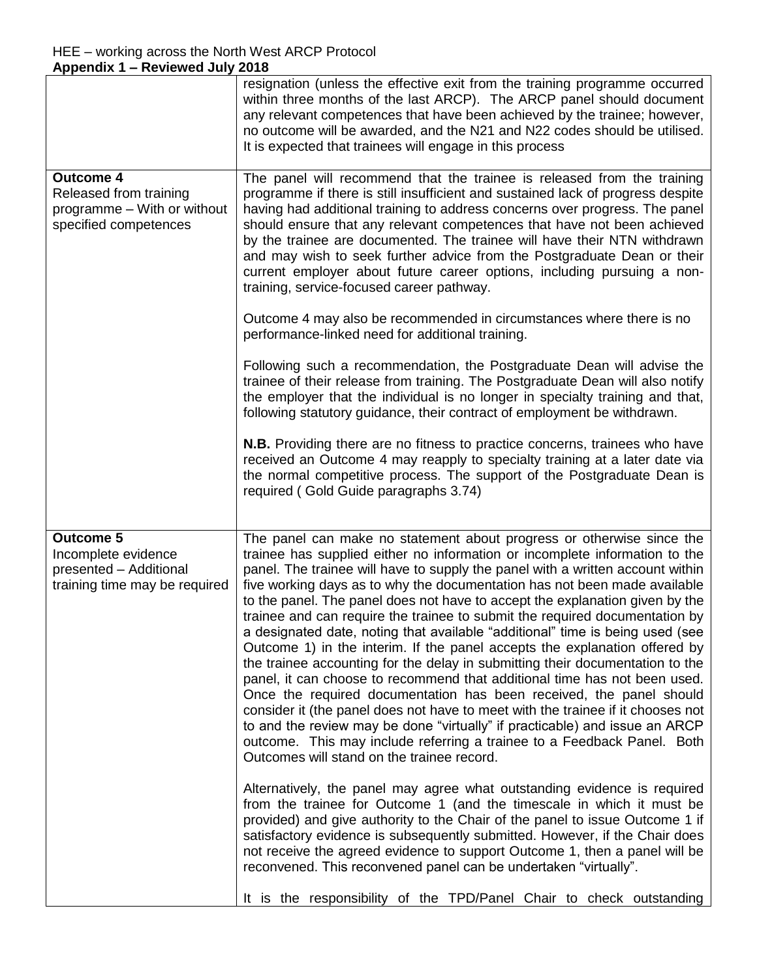|                                                                                                    | resignation (unless the effective exit from the training programme occurred<br>within three months of the last ARCP). The ARCP panel should document<br>any relevant competences that have been achieved by the trainee; however,<br>no outcome will be awarded, and the N21 and N22 codes should be utilised.<br>It is expected that trainees will engage in this process                                                                                                                                                                                                                                                                                                                                                                                                                                                                                                                                                                                                                                                                                                                                                                                                        |
|----------------------------------------------------------------------------------------------------|-----------------------------------------------------------------------------------------------------------------------------------------------------------------------------------------------------------------------------------------------------------------------------------------------------------------------------------------------------------------------------------------------------------------------------------------------------------------------------------------------------------------------------------------------------------------------------------------------------------------------------------------------------------------------------------------------------------------------------------------------------------------------------------------------------------------------------------------------------------------------------------------------------------------------------------------------------------------------------------------------------------------------------------------------------------------------------------------------------------------------------------------------------------------------------------|
| <b>Outcome 4</b><br>Released from training<br>programme - With or without<br>specified competences | The panel will recommend that the trainee is released from the training<br>programme if there is still insufficient and sustained lack of progress despite<br>having had additional training to address concerns over progress. The panel<br>should ensure that any relevant competences that have not been achieved<br>by the trainee are documented. The trainee will have their NTN withdrawn<br>and may wish to seek further advice from the Postgraduate Dean or their<br>current employer about future career options, including pursuing a non-<br>training, service-focused career pathway.                                                                                                                                                                                                                                                                                                                                                                                                                                                                                                                                                                               |
|                                                                                                    | Outcome 4 may also be recommended in circumstances where there is no<br>performance-linked need for additional training.                                                                                                                                                                                                                                                                                                                                                                                                                                                                                                                                                                                                                                                                                                                                                                                                                                                                                                                                                                                                                                                          |
|                                                                                                    | Following such a recommendation, the Postgraduate Dean will advise the<br>trainee of their release from training. The Postgraduate Dean will also notify<br>the employer that the individual is no longer in specialty training and that,<br>following statutory guidance, their contract of employment be withdrawn.                                                                                                                                                                                                                                                                                                                                                                                                                                                                                                                                                                                                                                                                                                                                                                                                                                                             |
|                                                                                                    | <b>N.B.</b> Providing there are no fitness to practice concerns, trainees who have<br>received an Outcome 4 may reapply to specialty training at a later date via<br>the normal competitive process. The support of the Postgraduate Dean is<br>required (Gold Guide paragraphs 3.74)                                                                                                                                                                                                                                                                                                                                                                                                                                                                                                                                                                                                                                                                                                                                                                                                                                                                                             |
| <b>Outcome 5</b><br>Incomplete evidence<br>presented - Additional<br>training time may be required | The panel can make no statement about progress or otherwise since the<br>trainee has supplied either no information or incomplete information to the<br>panel. The trainee will have to supply the panel with a written account within<br>five working days as to why the documentation has not been made available<br>to the panel. The panel does not have to accept the explanation given by the<br>trainee and can require the trainee to submit the required documentation by<br>a designated date, noting that available "additional" time is being used (see<br>Outcome 1) in the interim. If the panel accepts the explanation offered by<br>the trainee accounting for the delay in submitting their documentation to the<br>panel, it can choose to recommend that additional time has not been used.<br>Once the required documentation has been received, the panel should<br>consider it (the panel does not have to meet with the trainee if it chooses not<br>to and the review may be done "virtually" if practicable) and issue an ARCP<br>outcome. This may include referring a trainee to a Feedback Panel. Both<br>Outcomes will stand on the trainee record. |
|                                                                                                    | Alternatively, the panel may agree what outstanding evidence is required<br>from the trainee for Outcome 1 (and the timescale in which it must be<br>provided) and give authority to the Chair of the panel to issue Outcome 1 if<br>satisfactory evidence is subsequently submitted. However, if the Chair does<br>not receive the agreed evidence to support Outcome 1, then a panel will be<br>reconvened. This reconvened panel can be undertaken "virtually".                                                                                                                                                                                                                                                                                                                                                                                                                                                                                                                                                                                                                                                                                                                |
|                                                                                                    | It is the responsibility of the TPD/Panel Chair to check outstanding                                                                                                                                                                                                                                                                                                                                                                                                                                                                                                                                                                                                                                                                                                                                                                                                                                                                                                                                                                                                                                                                                                              |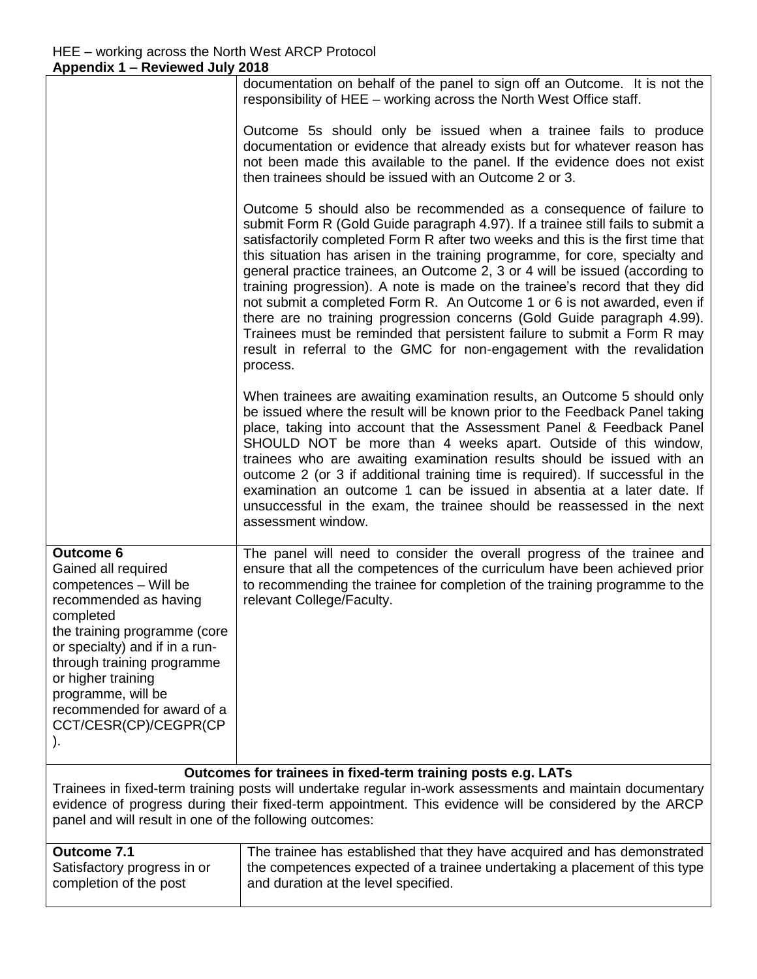completion of the post

|                                                                                                                                                                                                                                                                                                           | documentation on behalf of the panel to sign off an Outcome. It is not the                                                                                                                                                                                                                                                                                                                                                                                                                                                                                                                                                                                                                                                                                                                                        |
|-----------------------------------------------------------------------------------------------------------------------------------------------------------------------------------------------------------------------------------------------------------------------------------------------------------|-------------------------------------------------------------------------------------------------------------------------------------------------------------------------------------------------------------------------------------------------------------------------------------------------------------------------------------------------------------------------------------------------------------------------------------------------------------------------------------------------------------------------------------------------------------------------------------------------------------------------------------------------------------------------------------------------------------------------------------------------------------------------------------------------------------------|
|                                                                                                                                                                                                                                                                                                           | responsibility of HEE - working across the North West Office staff.                                                                                                                                                                                                                                                                                                                                                                                                                                                                                                                                                                                                                                                                                                                                               |
|                                                                                                                                                                                                                                                                                                           | Outcome 5s should only be issued when a trainee fails to produce<br>documentation or evidence that already exists but for whatever reason has<br>not been made this available to the panel. If the evidence does not exist<br>then trainees should be issued with an Outcome 2 or 3.                                                                                                                                                                                                                                                                                                                                                                                                                                                                                                                              |
|                                                                                                                                                                                                                                                                                                           | Outcome 5 should also be recommended as a consequence of failure to<br>submit Form R (Gold Guide paragraph 4.97). If a trainee still fails to submit a<br>satisfactorily completed Form R after two weeks and this is the first time that<br>this situation has arisen in the training programme, for core, specialty and<br>general practice trainees, an Outcome 2, 3 or 4 will be issued (according to<br>training progression). A note is made on the trainee's record that they did<br>not submit a completed Form R. An Outcome 1 or 6 is not awarded, even if<br>there are no training progression concerns (Gold Guide paragraph 4.99).<br>Trainees must be reminded that persistent failure to submit a Form R may<br>result in referral to the GMC for non-engagement with the revalidation<br>process. |
|                                                                                                                                                                                                                                                                                                           | When trainees are awaiting examination results, an Outcome 5 should only<br>be issued where the result will be known prior to the Feedback Panel taking<br>place, taking into account that the Assessment Panel & Feedback Panel<br>SHOULD NOT be more than 4 weeks apart. Outside of this window,<br>trainees who are awaiting examination results should be issued with an<br>outcome 2 (or 3 if additional training time is required). If successful in the<br>examination an outcome 1 can be issued in absentia at a later date. If<br>unsuccessful in the exam, the trainee should be reassessed in the next<br>assessment window.                                                                                                                                                                          |
| <b>Outcome 6</b><br>Gained all required<br>competences - Will be<br>recommended as having<br>completed<br>the training programme (core<br>or specialty) and if in a run-<br>through training programme<br>or higher training<br>programme, will be<br>recommended for award of a<br>CCT/CESR(CP)/CEGPR(CP | The panel will need to consider the overall progress of the trainee and<br>ensure that all the competences of the curriculum have been achieved prior<br>to recommending the trainee for completion of the training programme to the<br>relevant College/Faculty.                                                                                                                                                                                                                                                                                                                                                                                                                                                                                                                                                 |
| Outcomes for trainees in fixed-term training posts e.g. LATs                                                                                                                                                                                                                                              |                                                                                                                                                                                                                                                                                                                                                                                                                                                                                                                                                                                                                                                                                                                                                                                                                   |
| Trainees in fixed-term training posts will undertake regular in-work assessments and maintain documentary<br>evidence of progress during their fixed-term appointment. This evidence will be considered by the ARCP<br>panel and will result in one of the following outcomes:                            |                                                                                                                                                                                                                                                                                                                                                                                                                                                                                                                                                                                                                                                                                                                                                                                                                   |
| Outcome 7.1                                                                                                                                                                                                                                                                                               | The trainee has established that they have acquired and has demonstrated                                                                                                                                                                                                                                                                                                                                                                                                                                                                                                                                                                                                                                                                                                                                          |
| Satisfactory progress in or                                                                                                                                                                                                                                                                               | the competences expected of a trainee undertaking a placement of this type                                                                                                                                                                                                                                                                                                                                                                                                                                                                                                                                                                                                                                                                                                                                        |

and duration at the level specified.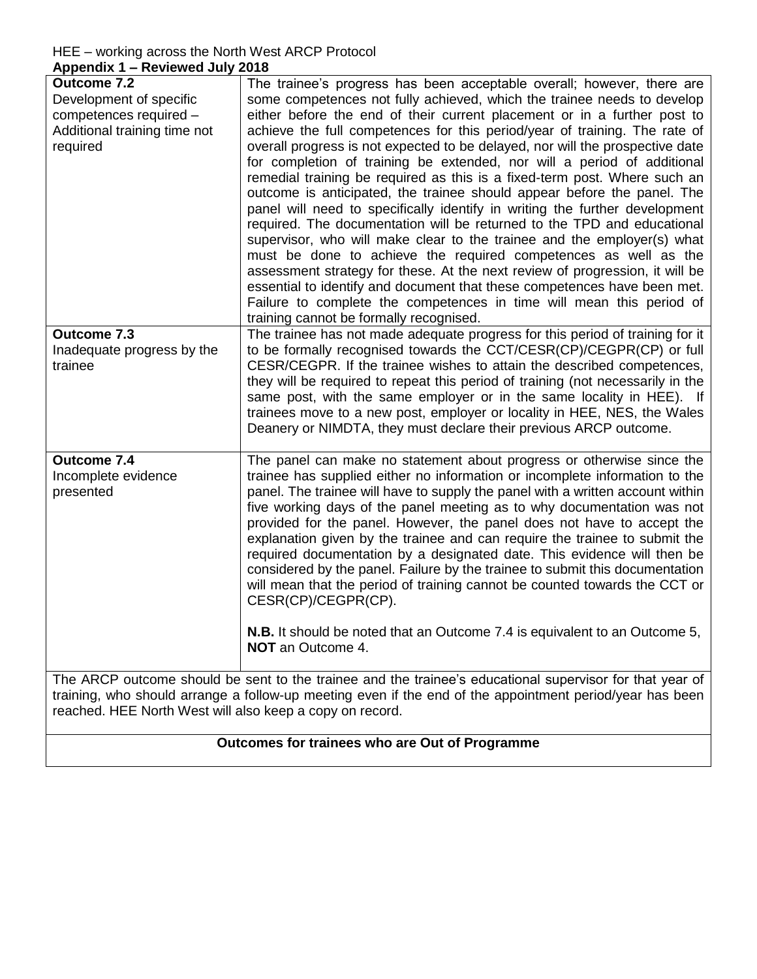## HEE – working across the North West ARCP Protocol **Appendix 1 – Reviewed July 2018**

| <b>Appendix 1 - Reviewed July 2010</b>                                                                                                                                                                                                                                           |                                                                                                                                                                                                                                                                                                                                                                                                                                                                                                                                                                                                                                                                                                                                                                                                                                                                                                                                                                                                                                                                                                                                                                                                                        |  |
|----------------------------------------------------------------------------------------------------------------------------------------------------------------------------------------------------------------------------------------------------------------------------------|------------------------------------------------------------------------------------------------------------------------------------------------------------------------------------------------------------------------------------------------------------------------------------------------------------------------------------------------------------------------------------------------------------------------------------------------------------------------------------------------------------------------------------------------------------------------------------------------------------------------------------------------------------------------------------------------------------------------------------------------------------------------------------------------------------------------------------------------------------------------------------------------------------------------------------------------------------------------------------------------------------------------------------------------------------------------------------------------------------------------------------------------------------------------------------------------------------------------|--|
| <b>Outcome 7.2</b><br>Development of specific<br>competences required -<br>Additional training time not<br>required                                                                                                                                                              | The trainee's progress has been acceptable overall; however, there are<br>some competences not fully achieved, which the trainee needs to develop<br>either before the end of their current placement or in a further post to<br>achieve the full competences for this period/year of training. The rate of<br>overall progress is not expected to be delayed, nor will the prospective date<br>for completion of training be extended, nor will a period of additional<br>remedial training be required as this is a fixed-term post. Where such an<br>outcome is anticipated, the trainee should appear before the panel. The<br>panel will need to specifically identify in writing the further development<br>required. The documentation will be returned to the TPD and educational<br>supervisor, who will make clear to the trainee and the employer(s) what<br>must be done to achieve the required competences as well as the<br>assessment strategy for these. At the next review of progression, it will be<br>essential to identify and document that these competences have been met.<br>Failure to complete the competences in time will mean this period of<br>training cannot be formally recognised. |  |
| Outcome 7.3                                                                                                                                                                                                                                                                      | The trainee has not made adequate progress for this period of training for it                                                                                                                                                                                                                                                                                                                                                                                                                                                                                                                                                                                                                                                                                                                                                                                                                                                                                                                                                                                                                                                                                                                                          |  |
| Inadequate progress by the<br>trainee                                                                                                                                                                                                                                            | to be formally recognised towards the CCT/CESR(CP)/CEGPR(CP) or full<br>CESR/CEGPR. If the trainee wishes to attain the described competences,<br>they will be required to repeat this period of training (not necessarily in the<br>same post, with the same employer or in the same locality in HEE). If<br>trainees move to a new post, employer or locality in HEE, NES, the Wales<br>Deanery or NIMDTA, they must declare their previous ARCP outcome.                                                                                                                                                                                                                                                                                                                                                                                                                                                                                                                                                                                                                                                                                                                                                            |  |
| Outcome 7.4<br>Incomplete evidence<br>presented                                                                                                                                                                                                                                  | The panel can make no statement about progress or otherwise since the<br>trainee has supplied either no information or incomplete information to the<br>panel. The trainee will have to supply the panel with a written account within<br>five working days of the panel meeting as to why documentation was not<br>provided for the panel. However, the panel does not have to accept the<br>explanation given by the trainee and can require the trainee to submit the<br>required documentation by a designated date. This evidence will then be<br>considered by the panel. Failure by the trainee to submit this documentation<br>will mean that the period of training cannot be counted towards the CCT or<br>CESR(CP)/CEGPR(CP).                                                                                                                                                                                                                                                                                                                                                                                                                                                                               |  |
|                                                                                                                                                                                                                                                                                  | <b>N.B.</b> It should be noted that an Outcome 7.4 is equivalent to an Outcome 5,<br><b>NOT</b> an Outcome 4.                                                                                                                                                                                                                                                                                                                                                                                                                                                                                                                                                                                                                                                                                                                                                                                                                                                                                                                                                                                                                                                                                                          |  |
| The ARCP outcome should be sent to the trainee and the trainee's educational supervisor for that year of<br>training, who should arrange a follow-up meeting even if the end of the appointment period/year has been<br>reached. HEE North West will also keep a copy on record. |                                                                                                                                                                                                                                                                                                                                                                                                                                                                                                                                                                                                                                                                                                                                                                                                                                                                                                                                                                                                                                                                                                                                                                                                                        |  |

# **Outcomes for trainees who are Out of Programme**